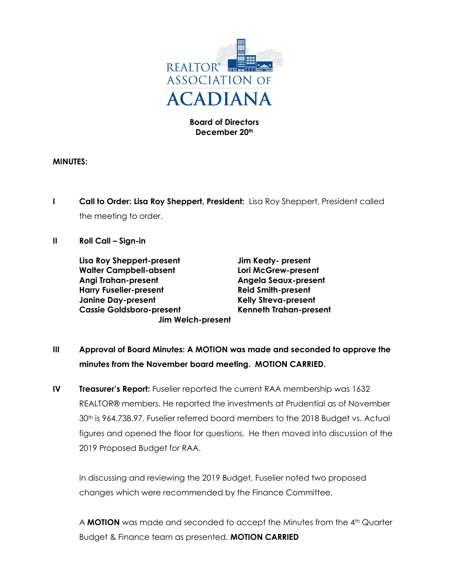

**Board of Directors December 20th**

## **MINUTES:**

**I Call to Order: Lisa Roy Sheppert, President:** Lisa Roy Sheppert, President called the meeting to order.

## **II Roll Call – Sign-in**

**Lisa Roy Sheppert-present Jim Keaty- present Walter Campbell-absent Lori McGrew-present Angi Trahan-present Angela Seaux-present Harry Fuselier-present Reid Smith-present Janine Day-present Kelly Streva-present Cassie Goldsboro-present Kenneth Trahan-present Jim Welch-present**

- **III Approval of Board Minutes: A MOTION was made and seconded to approve the minutes from the November board meeting. MOTION CARRIED.**
- **IV Treasurer's Report:** Fuselier reported the current RAA membership was 1632 REALTOR® members. He reported the investments at Prudential as of November 30<sup>th</sup> is 964,738.97. Fuselier referred board members to the 2018 Budget vs. Actual figures and opened the floor for questions. He then moved into discussion of the 2019 Proposed Budget for RAA.

In discussing and reviewing the 2019 Budget, Fuselier noted two proposed changes which were recommended by the Finance Committee.

A **MOTION** was made and seconded to accept the Minutes from the 4<sup>th</sup> Quarter Budget & Finance team as presented. **MOTION CARRIED**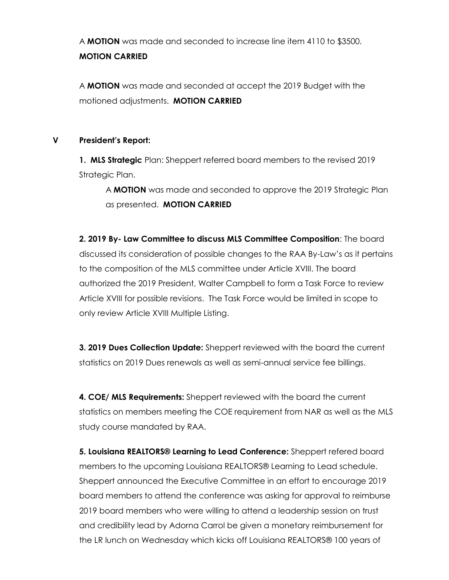A **MOTION** was made and seconded to increase line item 4110 to \$3500. **MOTION CARRIED**

A **MOTION** was made and seconded at accept the 2019 Budget with the motioned adjustments. **MOTION CARRIED**

## **V President's Report:**

**1. MLS Strategic** Plan: Sheppert referred board members to the revised 2019 Strategic Plan.

A **MOTION** was made and seconded to approve the 2019 Strategic Plan as presented. **MOTION CARRIED**

**2. 2019 By- Law Committee to discuss MLS Committee Composition**: The board discussed its consideration of possible changes to the RAA By-Law's as it pertains to the composition of the MLS committee under Article XVIII. The board authorized the 2019 President, Walter Campbell to form a Task Force to review Article XVIII for possible revisions. The Task Force would be limited in scope to only review Article XVIII Multiple Listing.

**3. 2019 Dues Collection Update:** Sheppert reviewed with the board the current statistics on 2019 Dues renewals as well as semi-annual service fee billings.

**4. COE/ MLS Requirements:** Sheppert reviewed with the board the current statistics on members meeting the COE requirement from NAR as well as the MLS study course mandated by RAA.

**5. Louisiana REALTORS® Learning to Lead Conference:** Sheppert refered board members to the upcoming Louisiana REALTORS® Learning to Lead schedule. Sheppert announced the Executive Committee in an effort to encourage 2019 board members to attend the conference was asking for approval to reimburse 2019 board members who were willing to attend a leadership session on trust and credibility lead by Adorna Carrol be given a monetary reimbursement for the LR lunch on Wednesday which kicks off Louisiana REALTORS® 100 years of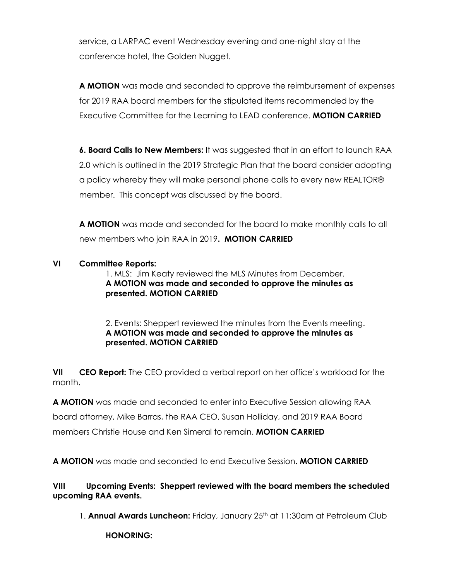service, a LARPAC event Wednesday evening and one-night stay at the conference hotel, the Golden Nugget.

**A MOTION** was made and seconded to approve the reimbursement of expenses for 2019 RAA board members for the stipulated items recommended by the Executive Committee for the Learning to LEAD conference. **MOTION CARRIED**

**6. Board Calls to New Members:** It was suggested that in an effort to launch RAA 2.0 which is outlined in the 2019 Strategic Plan that the board consider adopting a policy whereby they will make personal phone calls to every new REALTOR® member. This concept was discussed by the board.

**A MOTION** was made and seconded for the board to make monthly calls to all new members who join RAA in 2019**. MOTION CARRIED**

## **VI Committee Reports:**

1. MLS: Jim Keaty reviewed the MLS Minutes from December. **A MOTION was made and seconded to approve the minutes as presented. MOTION CARRIED**

2. Events: Sheppert reviewed the minutes from the Events meeting. **A MOTION was made and seconded to approve the minutes as presented. MOTION CARRIED**

**VII CEO Report:** The CEO provided a verbal report on her office's workload for the month.

**A MOTION** was made and seconded to enter into Executive Session allowing RAA board attorney, Mike Barras, the RAA CEO, Susan Holliday, and 2019 RAA Board members Christie House and Ken Simeral to remain. **MOTION CARRIED**

**A MOTION** was made and seconded to end Executive Session**. MOTION CARRIED**

**VIII Upcoming Events: Sheppert reviewed with the board members the scheduled upcoming RAA events.** 

1. **Annual Awards Luncheon:** Friday, January 25<sup>th</sup> at 11:30am at Petroleum Club

**HONORING:**